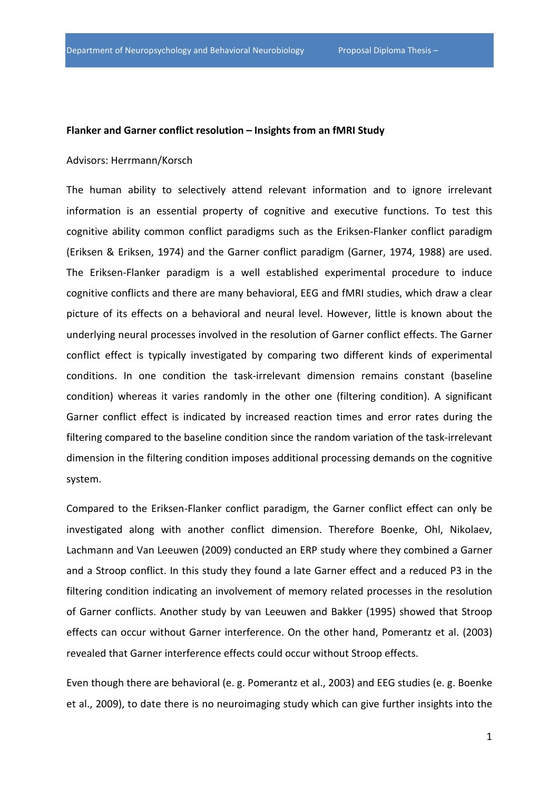## **Flanker and Garner conflict resolution – Insights from an fMRI Study**

## Advisors: Herrmann/Korsch

The human ability to selectively attend relevant information and to ignore irrelevant information is an essential property of cognitive and executive functions. To test this cognitive ability common conflict paradigms such as the Eriksen-Flanker conflict paradigm (Eriksen & Eriksen, 1974) and the Garner conflict paradigm (Garner, 1974, 1988) are used. The Eriksen-Flanker paradigm is a well established experimental procedure to induce cognitive conflicts and there are many behavioral, EEG and fMRI studies, which draw a clear picture of its effects on a behavioral and neural level. However, little is known about the underlying neural processes involved in the resolution of Garner conflict effects. The Garner conflict effect is typically investigated by comparing two different kinds of experimental conditions. In one condition the task-irrelevant dimension remains constant (baseline condition) whereas it varies randomly in the other one (filtering condition). A significant Garner conflict effect is indicated by increased reaction times and error rates during the filtering compared to the baseline condition since the random variation of the task-irrelevant dimension in the filtering condition imposes additional processing demands on the cognitive system.

Compared to the Eriksen-Flanker conflict paradigm, the Garner conflict effect can only be investigated along with another conflict dimension. Therefore Boenke, Ohl, Nikolaev, Lachmann and Van Leeuwen (2009) conducted an ERP study where they combined a Garner and a Stroop conflict. In this study they found a late Garner effect and a reduced P3 in the filtering condition indicating an involvement of memory related processes in the resolution of Garner conflicts. Another study by van Leeuwen and Bakker (1995) showed that Stroop effects can occur without Garner interference. On the other hand, Pomerantz et al. (2003) revealed that Garner interference effects could occur without Stroop effects.

Even though there are behavioral (e. g. Pomerantz et al., 2003) and EEG studies (e. g. Boenke et al., 2009), to date there is no neuroimaging study which can give further insights into the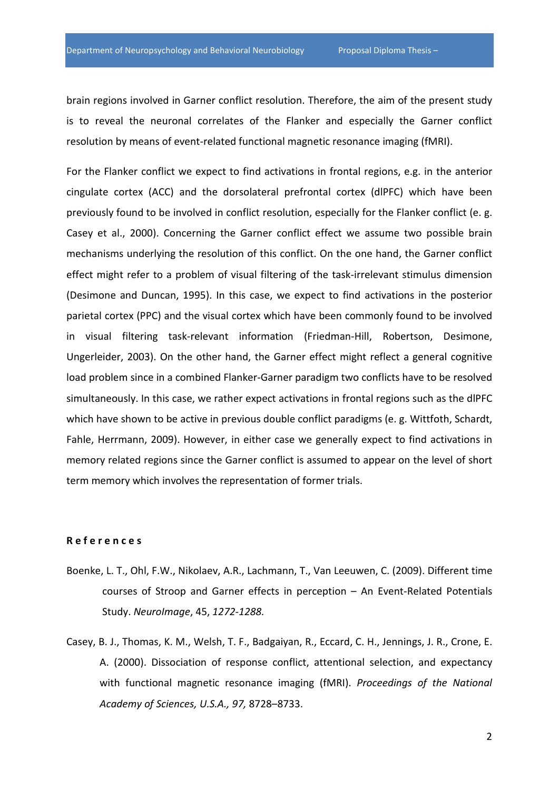brain regions involved in Garner conflict resolution. Therefore, the aim of the present study is to reveal the neuronal correlates of the Flanker and especially the Garner conflict resolution by means of event-related functional magnetic resonance imaging (fMRI).

For the Flanker conflict we expect to find activations in frontal regions, e.g. in the anterior cingulate cortex (ACC) and the dorsolateral prefrontal cortex (dlPFC) which have been previously found to be involved in conflict resolution, especially for the Flanker conflict (e. g. Casey et al., 2000). Concerning the Garner conflict effect we assume two possible brain mechanisms underlying the resolution of this conflict. On the one hand, the Garner conflict effect might refer to a problem of visual filtering of the task-irrelevant stimulus dimension (Desimone and Duncan, 1995). In this case, we expect to find activations in the posterior parietal cortex (PPC) and the visual cortex which have been commonly found to be involved in visual filtering task-relevant information (Friedman-Hill, Robertson, Desimone, Ungerleider, 2003). On the other hand, the Garner effect might reflect a general cognitive load problem since in a combined Flanker-Garner paradigm two conflicts have to be resolved simultaneously. In this case, we rather expect activations in frontal regions such as the dlPFC which have shown to be active in previous double conflict paradigms (e. g. Wittfoth, Schardt, Fahle, Herrmann, 2009). However, in either case we generally expect to find activations in memory related regions since the Garner conflict is assumed to appear on the level of short term memory which involves the representation of former trials.

## **R e f e r e n c e s**

- Boenke, L. T., Ohl, F.W., Nikolaev, A.R., Lachmann, T., Van Leeuwen, C. (2009). Different time courses of Stroop and Garner effects in perception – An Event-Related Potentials Study. *NeuroImage*, 45, *1272-1288.*
- Casey, B. J., Thomas, K. M., Welsh, T. F., Badgaiyan, R., Eccard, C. H., Jennings, J. R., Crone, E. A. (2000). Dissociation of response conflict, attentional selection, and expectancy with functional magnetic resonance imaging (fMRI). *Proceedings of the National Academy of Sciences, U.S.A., 97,* 8728–8733.